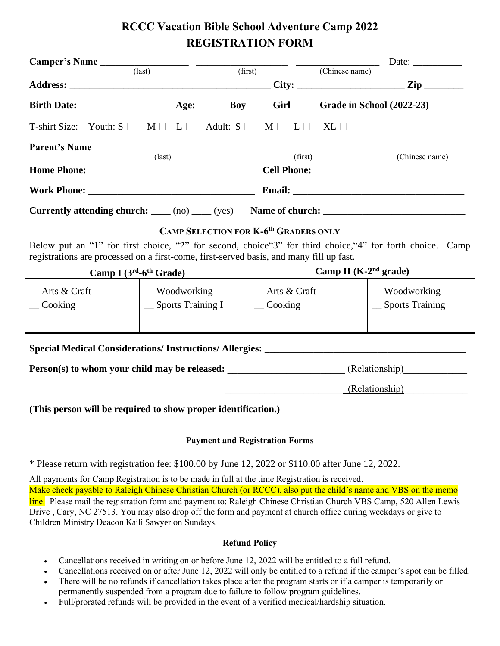# **RCCC Vacation Bible School Adventure Camp 2022 REGISTRATION FORM**

|                                                                                                                                                                                                       |                                     |         |                                                                   |                                          | $\Box$ Date: $\Box$                        |  |
|-------------------------------------------------------------------------------------------------------------------------------------------------------------------------------------------------------|-------------------------------------|---------|-------------------------------------------------------------------|------------------------------------------|--------------------------------------------|--|
| $\overline{\text{(last)}}$                                                                                                                                                                            |                                     | (first) |                                                                   | $\overline{\hspace{1cm}}$ (Chinese name) |                                            |  |
|                                                                                                                                                                                                       |                                     |         |                                                                   |                                          |                                            |  |
|                                                                                                                                                                                                       |                                     |         |                                                                   |                                          |                                            |  |
| T-shirt Size: Youth: $S \Box M \Box L \Box$ Adult: $S \Box M \Box L \Box XL \Box$                                                                                                                     |                                     |         |                                                                   |                                          |                                            |  |
| Parent's Name (last)                                                                                                                                                                                  |                                     |         | (first)                                                           |                                          | (Chinese name)                             |  |
|                                                                                                                                                                                                       |                                     |         |                                                                   |                                          |                                            |  |
| <b>Solution Work Phone:</b> Email:                                                                                                                                                                    |                                     |         |                                                                   |                                          |                                            |  |
| Currently attending church: $\qquad$ (no) $\qquad$ (yes) Name of church: $\qquad$                                                                                                                     |                                     |         |                                                                   |                                          |                                            |  |
| <b>CAMP SELECTION FOR K-6<sup>th</sup> GRADERS ONLY</b>                                                                                                                                               |                                     |         |                                                                   |                                          |                                            |  |
| Below put an "1" for first choice, "2" for second, choice "3" for third choice, "4" for forth choice. Camp<br>registrations are processed on a first-come, first-served basis, and many fill up fast. |                                     |         |                                                                   |                                          |                                            |  |
| Camp I $(3rd-6th Grade)$                                                                                                                                                                              |                                     |         | Camp II $(K-2nd grade)$                                           |                                          |                                            |  |
| Arts & Craft<br>$\sim$ Cooking                                                                                                                                                                        | _ Woodworking<br>_Sports Training I |         | Arts & Craft<br>$\equiv$ Cooking                                  |                                          | __ Woodworking<br>$\equiv$ Sports Training |  |
| Special Medical Considerations/ Instructions/ Allergies: ________________________                                                                                                                     |                                     |         |                                                                   |                                          |                                            |  |
| Person(s) to whom your child may be released:                                                                                                                                                         |                                     |         |                                                                   | (Relationship)                           |                                            |  |
|                                                                                                                                                                                                       |                                     |         | (Relationship)<br><u> 1989 - Johann John Stone, mars et al. (</u> |                                          |                                            |  |
| (This person will be required to show proper identification.)                                                                                                                                         |                                     |         |                                                                   |                                          |                                            |  |

#### **Payment and Registration Forms**

\* Please return with registration fee: \$100.00 by June 12, 2022 or \$110.00 after June 12, 2022.

 $\blacksquare$ 

All payments for Camp Registration is to be made in full at the time Registration is received. Make check payable to Raleigh Chinese Christian Church (or RCCC), also put the child's name and VBS on the memo line. Please mail the registration form and payment to: Raleigh Chinese Christian Church VBS Camp, 520 Allen Lewis Drive , Cary, NC 27513. You may also drop off the form and payment at church office during weekdays or give to Children Ministry Deacon Kaili Sawyer on Sundays.

#### **Refund Policy**

- Cancellations received in writing on or before June 12, 2022 will be entitled to a full refund.
- Cancellations received on or after June 12, 2022 will only be entitled to a refund if the camper's spot can be filled.
- There will be no refunds if cancellation takes place after the program starts or if a camper is temporarily or permanently suspended from a program due to failure to follow program guidelines.
- Full/prorated refunds will be provided in the event of a verified medical/hardship situation.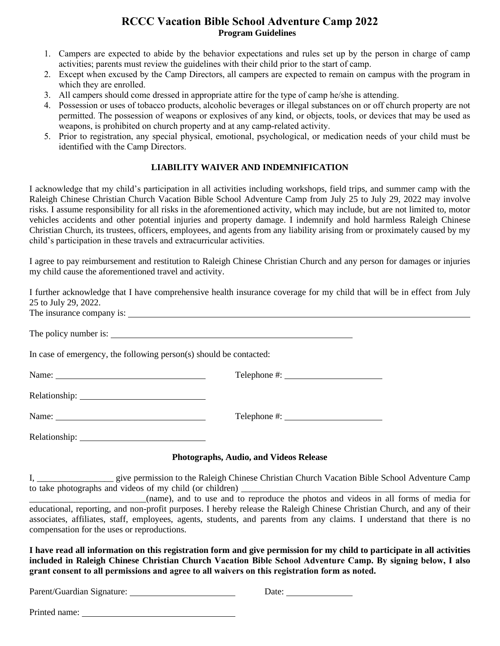## **RCCC Vacation Bible School Adventure Camp 2022 Program Guidelines**

- 1. Campers are expected to abide by the behavior expectations and rules set up by the person in charge of camp activities; parents must review the guidelines with their child prior to the start of camp.
- 2. Except when excused by the Camp Directors, all campers are expected to remain on campus with the program in which they are enrolled.
- 3. All campers should come dressed in appropriate attire for the type of camp he/she is attending.
- 4. Possession or uses of tobacco products, alcoholic beverages or illegal substances on or off church property are not permitted. The possession of weapons or explosives of any kind, or objects, tools, or devices that may be used as weapons, is prohibited on church property and at any camp-related activity.
- 5. Prior to registration, any special physical, emotional, psychological, or medication needs of your child must be identified with the Camp Directors.

#### **LIABILITY WAIVER AND INDEMNIFICATION**

I acknowledge that my child's participation in all activities including workshops, field trips, and summer camp with the Raleigh Chinese Christian Church Vacation Bible School Adventure Camp from July 25 to July 29, 2022 may involve risks. I assume responsibility for all risks in the aforementioned activity, which may include, but are not limited to, motor vehicles accidents and other potential injuries and property damage. I indemnify and hold harmless Raleigh Chinese Christian Church, its trustees, officers, employees, and agents from any liability arising from or proximately caused by my child's participation in these travels and extracurricular activities.

I agree to pay reimbursement and restitution to Raleigh Chinese Christian Church and any person for damages or injuries my child cause the aforementioned travel and activity.

| 25 to July 29, 2022.                                                                                                                                                                                                           | I further acknowledge that I have comprehensive health insurance coverage for my child that will be in effect from July |
|--------------------------------------------------------------------------------------------------------------------------------------------------------------------------------------------------------------------------------|-------------------------------------------------------------------------------------------------------------------------|
|                                                                                                                                                                                                                                |                                                                                                                         |
|                                                                                                                                                                                                                                |                                                                                                                         |
| In case of emergency, the following person(s) should be contacted:                                                                                                                                                             |                                                                                                                         |
|                                                                                                                                                                                                                                | Telephone #:                                                                                                            |
|                                                                                                                                                                                                                                |                                                                                                                         |
| Name: Name and the same of the same of the same of the same of the same of the same of the same of the same of the same of the same of the same of the same of the same of the same of the same of the same of the same of the | $Telephone \#:\_$                                                                                                       |
|                                                                                                                                                                                                                                |                                                                                                                         |

#### **Photographs, Audio, and Videos Release**

I, \_\_\_\_\_\_\_\_\_\_\_\_\_\_\_\_\_ give permission to the Raleigh Chinese Christian Church Vacation Bible School Adventure Camp to take photographs and videos of my child (or children)

\_\_\_\_\_\_\_\_\_\_\_\_\_\_\_\_\_\_\_\_\_\_\_\_\_\_(name), and to use and to reproduce the photos and videos in all forms of media for educational, reporting, and non-profit purposes. I hereby release the Raleigh Chinese Christian Church, and any of their associates, affiliates, staff, employees, agents, students, and parents from any claims. I understand that there is no compensation for the uses or reproductions.

**I have read all information on this registration form and give permission for my child to participate in all activities included in Raleigh Chinese Christian Church Vacation Bible School Adventure Camp. By signing below, I also grant consent to all permissions and agree to all waivers on this registration form as noted.**

Parent/Guardian Signature: Date: Date:

Printed name: